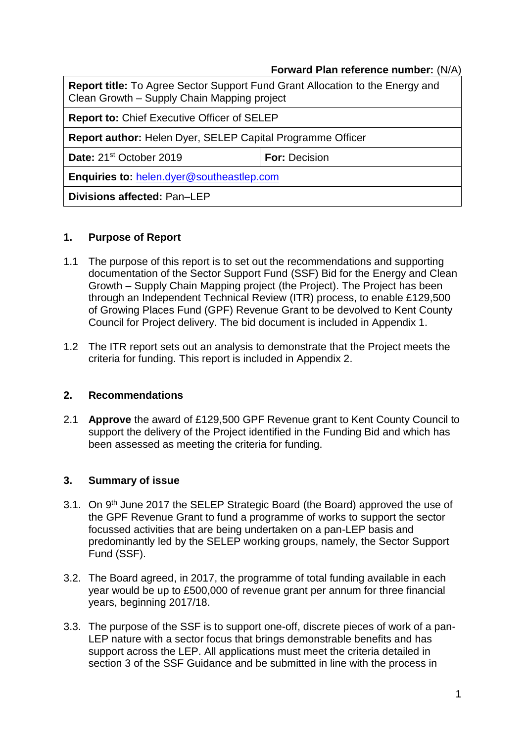## **Forward Plan reference number:** (N/A)

**Report title:** To Agree Sector Support Fund Grant Allocation to the Energy and Clean Growth – Supply Chain Mapping project

**Report to:** Chief Executive Officer of SELEP

**Report author:** Helen Dyer, SELEP Capital Programme Officer

**Date:** 21<sup>st</sup> October 2019 **For:** Decision

**Enquiries to:** [helen.dyer@southeastlep.com](mailto:helen.dyer@southeastlep.com)

**Divisions affected:** Pan–LEP

## **1. Purpose of Report**

- 1.1 The purpose of this report is to set out the recommendations and supporting documentation of the Sector Support Fund (SSF) Bid for the Energy and Clean Growth – Supply Chain Mapping project (the Project). The Project has been through an Independent Technical Review (ITR) process, to enable £129,500 of Growing Places Fund (GPF) Revenue Grant to be devolved to Kent County Council for Project delivery. The bid document is included in Appendix 1.
- 1.2 The ITR report sets out an analysis to demonstrate that the Project meets the criteria for funding. This report is included in Appendix 2.

#### **2. Recommendations**

2.1 **Approve** the award of £129,500 GPF Revenue grant to Kent County Council to support the delivery of the Project identified in the Funding Bid and which has been assessed as meeting the criteria for funding.

## **3. Summary of issue**

- 3.1. On 9<sup>th</sup> June 2017 the SELEP Strategic Board (the Board) approved the use of the GPF Revenue Grant to fund a programme of works to support the sector focussed activities that are being undertaken on a pan-LEP basis and predominantly led by the SELEP working groups, namely, the Sector Support Fund (SSF).
- 3.2. The Board agreed, in 2017, the programme of total funding available in each year would be up to £500,000 of revenue grant per annum for three financial years, beginning 2017/18.
- 3.3. The purpose of the SSF is to support one-off, discrete pieces of work of a pan-LEP nature with a sector focus that brings demonstrable benefits and has support across the LEP. All applications must meet the criteria detailed in section 3 of the SSF Guidance and be submitted in line with the process in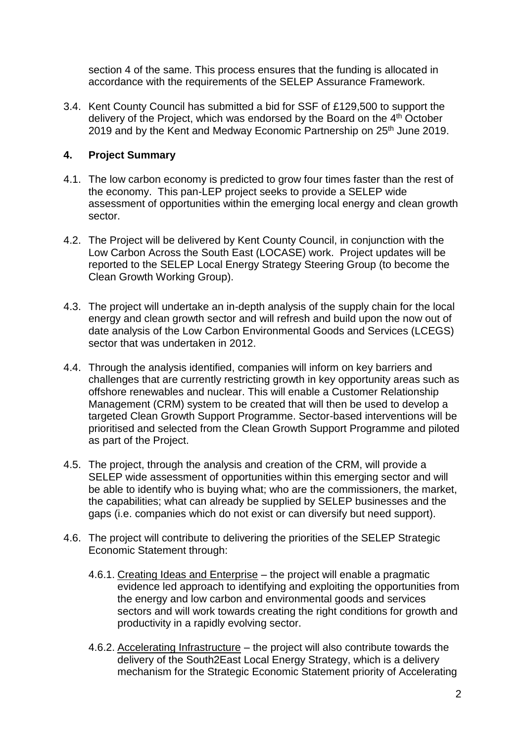section 4 of the same. This process ensures that the funding is allocated in accordance with the requirements of the SELEP Assurance Framework.

3.4. Kent County Council has submitted a bid for SSF of £129,500 to support the delivery of the Project, which was endorsed by the Board on the 4<sup>th</sup> October 2019 and by the Kent and Medway Economic Partnership on 25<sup>th</sup> June 2019.

# **4. Project Summary**

- 4.1. The low carbon economy is predicted to grow four times faster than the rest of the economy. This pan-LEP project seeks to provide a SELEP wide assessment of opportunities within the emerging local energy and clean growth sector.
- 4.2. The Project will be delivered by Kent County Council, in conjunction with the Low Carbon Across the South East (LOCASE) work. Project updates will be reported to the SELEP Local Energy Strategy Steering Group (to become the Clean Growth Working Group).
- 4.3. The project will undertake an in-depth analysis of the supply chain for the local energy and clean growth sector and will refresh and build upon the now out of date analysis of the Low Carbon Environmental Goods and Services (LCEGS) sector that was undertaken in 2012.
- 4.4. Through the analysis identified, companies will inform on key barriers and challenges that are currently restricting growth in key opportunity areas such as offshore renewables and nuclear. This will enable a Customer Relationship Management (CRM) system to be created that will then be used to develop a targeted Clean Growth Support Programme. Sector-based interventions will be prioritised and selected from the Clean Growth Support Programme and piloted as part of the Project.
- 4.5. The project, through the analysis and creation of the CRM, will provide a SELEP wide assessment of opportunities within this emerging sector and will be able to identify who is buying what; who are the commissioners, the market, the capabilities; what can already be supplied by SELEP businesses and the gaps (i.e. companies which do not exist or can diversify but need support).
- 4.6. The project will contribute to delivering the priorities of the SELEP Strategic Economic Statement through:
	- 4.6.1. Creating Ideas and Enterprise the project will enable a pragmatic evidence led approach to identifying and exploiting the opportunities from the energy and low carbon and environmental goods and services sectors and will work towards creating the right conditions for growth and productivity in a rapidly evolving sector.
	- 4.6.2. Accelerating Infrastructure the project will also contribute towards the delivery of the South2East Local Energy Strategy, which is a delivery mechanism for the Strategic Economic Statement priority of Accelerating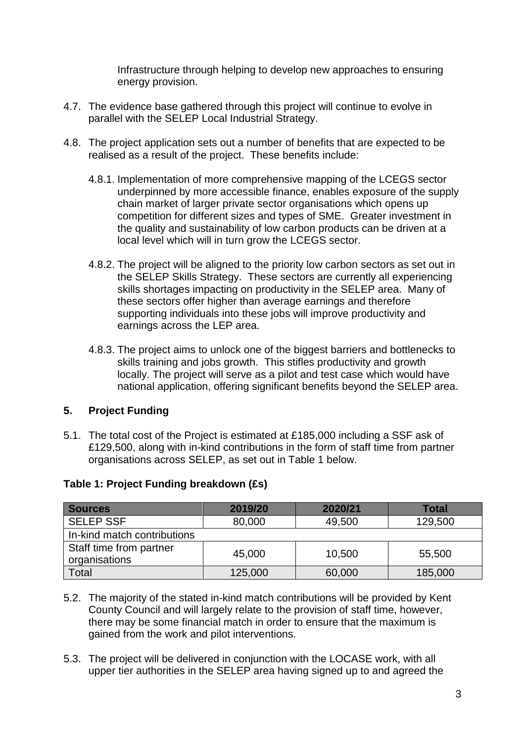Infrastructure through helping to develop new approaches to ensuring energy provision.

- 4.7. The evidence base gathered through this project will continue to evolve in parallel with the SELEP Local Industrial Strategy.
- 4.8. The project application sets out a number of benefits that are expected to be realised as a result of the project. These benefits include:
	- 4.8.1. Implementation of more comprehensive mapping of the LCEGS sector underpinned by more accessible finance, enables exposure of the supply chain market of larger private sector organisations which opens up competition for different sizes and types of SME. Greater investment in the quality and sustainability of low carbon products can be driven at a local level which will in turn grow the LCEGS sector.
	- 4.8.2. The project will be aligned to the priority low carbon sectors as set out in the SELEP Skills Strategy. These sectors are currently all experiencing skills shortages impacting on productivity in the SELEP area. Many of these sectors offer higher than average earnings and therefore supporting individuals into these jobs will improve productivity and earnings across the LEP area.
	- 4.8.3. The project aims to unlock one of the biggest barriers and bottlenecks to skills training and jobs growth. This stifles productivity and growth locally. The project will serve as a pilot and test case which would have national application, offering significant benefits beyond the SELEP area.

# **5. Project Funding**

5.1. The total cost of the Project is estimated at £185,000 including a SSF ask of £129,500, along with in-kind contributions in the form of staff time from partner organisations across SELEP, as set out in Table 1 below.

| <b>Sources</b>                           | 2019/20 | 2020/21 | Total   |
|------------------------------------------|---------|---------|---------|
| <b>SELEP SSF</b>                         | 80,000  | 49,500  | 129,500 |
| In-kind match contributions              |         |         |         |
| Staff time from partner<br>organisations | 45,000  | 10,500  | 55,500  |
| Total                                    | 125,000 | 60,000  | 185,000 |

# **Table 1: Project Funding breakdown (£s)**

- 5.2. The majority of the stated in-kind match contributions will be provided by Kent County Council and will largely relate to the provision of staff time, however, there may be some financial match in order to ensure that the maximum is gained from the work and pilot interventions.
- 5.3. The project will be delivered in conjunction with the LOCASE work, with all upper tier authorities in the SELEP area having signed up to and agreed the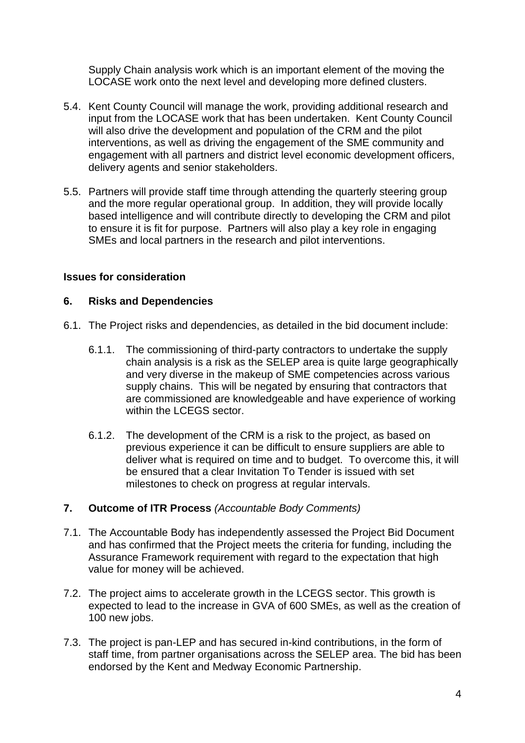Supply Chain analysis work which is an important element of the moving the LOCASE work onto the next level and developing more defined clusters.

- 5.4. Kent County Council will manage the work, providing additional research and input from the LOCASE work that has been undertaken. Kent County Council will also drive the development and population of the CRM and the pilot interventions, as well as driving the engagement of the SME community and engagement with all partners and district level economic development officers, delivery agents and senior stakeholders.
- 5.5. Partners will provide staff time through attending the quarterly steering group and the more regular operational group. In addition, they will provide locally based intelligence and will contribute directly to developing the CRM and pilot to ensure it is fit for purpose. Partners will also play a key role in engaging SMEs and local partners in the research and pilot interventions.

## **Issues for consideration**

## **6. Risks and Dependencies**

- 6.1. The Project risks and dependencies, as detailed in the bid document include:
	- 6.1.1. The commissioning of third-party contractors to undertake the supply chain analysis is a risk as the SELEP area is quite large geographically and very diverse in the makeup of SME competencies across various supply chains. This will be negated by ensuring that contractors that are commissioned are knowledgeable and have experience of working within the LCEGS sector.
	- 6.1.2. The development of the CRM is a risk to the project, as based on previous experience it can be difficult to ensure suppliers are able to deliver what is required on time and to budget. To overcome this, it will be ensured that a clear Invitation To Tender is issued with set milestones to check on progress at regular intervals.

#### **7. Outcome of ITR Process** *(Accountable Body Comments)*

- 7.1. The Accountable Body has independently assessed the Project Bid Document and has confirmed that the Project meets the criteria for funding, including the Assurance Framework requirement with regard to the expectation that high value for money will be achieved.
- 7.2. The project aims to accelerate growth in the LCEGS sector. This growth is expected to lead to the increase in GVA of 600 SMEs, as well as the creation of 100 new jobs.
- 7.3. The project is pan-LEP and has secured in-kind contributions, in the form of staff time, from partner organisations across the SELEP area. The bid has been endorsed by the Kent and Medway Economic Partnership.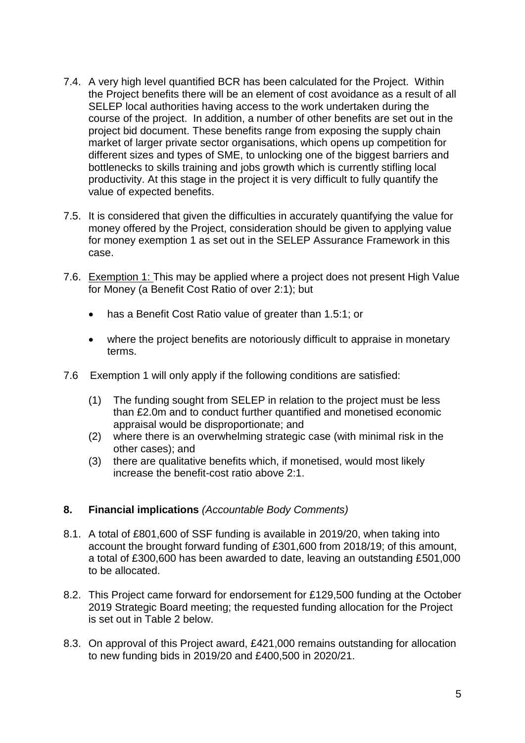- 7.4. A very high level quantified BCR has been calculated for the Project. Within the Project benefits there will be an element of cost avoidance as a result of all SELEP local authorities having access to the work undertaken during the course of the project. In addition, a number of other benefits are set out in the project bid document. These benefits range from exposing the supply chain market of larger private sector organisations, which opens up competition for different sizes and types of SME, to unlocking one of the biggest barriers and bottlenecks to skills training and jobs growth which is currently stifling local productivity. At this stage in the project it is very difficult to fully quantify the value of expected benefits.
- 7.5. It is considered that given the difficulties in accurately quantifying the value for money offered by the Project, consideration should be given to applying value for money exemption 1 as set out in the SELEP Assurance Framework in this case.
- 7.6. Exemption 1: This may be applied where a project does not present High Value for Money (a Benefit Cost Ratio of over 2:1); but
	- has a Benefit Cost Ratio value of greater than 1.5:1; or
	- where the project benefits are notoriously difficult to appraise in monetary terms.
- 7.6 Exemption 1 will only apply if the following conditions are satisfied:
	- (1) The funding sought from SELEP in relation to the project must be less than £2.0m and to conduct further quantified and monetised economic appraisal would be disproportionate; and
	- (2) where there is an overwhelming strategic case (with minimal risk in the other cases); and
	- (3) there are qualitative benefits which, if monetised, would most likely increase the benefit-cost ratio above 2:1.

# **8. Financial implications** *(Accountable Body Comments)*

- 8.1. A total of £801,600 of SSF funding is available in 2019/20, when taking into account the brought forward funding of £301,600 from 2018/19; of this amount, a total of £300,600 has been awarded to date, leaving an outstanding £501,000 to be allocated.
- 8.2. This Project came forward for endorsement for £129,500 funding at the October 2019 Strategic Board meeting; the requested funding allocation for the Project is set out in Table 2 below.
- 8.3. On approval of this Project award, £421,000 remains outstanding for allocation to new funding bids in 2019/20 and £400,500 in 2020/21.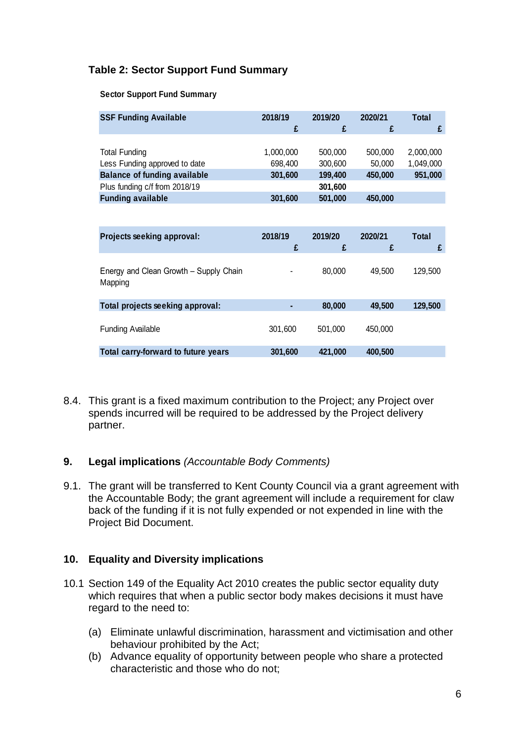# **Table 2: Sector Support Fund Summary**

#### **Sector Support Fund Summary**

| <b>SSF Funding Available</b>                                                                                                                              | 2018/19<br>£                               | 2019/20<br>£                                        | 2020/21<br>£                            | <b>Total</b><br>£                 |
|-----------------------------------------------------------------------------------------------------------------------------------------------------------|--------------------------------------------|-----------------------------------------------------|-----------------------------------------|-----------------------------------|
| <b>Total Funding</b><br>Less Funding approved to date<br><b>Balance of funding available</b><br>Plus funding c/f from 2018/19<br><b>Funding available</b> | 1,000,000<br>698,400<br>301,600<br>301,600 | 500,000<br>300,600<br>199,400<br>301,600<br>501,000 | 500,000<br>50,000<br>450,000<br>450,000 | 2,000,000<br>1,049,000<br>951,000 |
| Projects seeking approval:                                                                                                                                | 2018/19<br>£                               | 2019/20<br>£                                        | 2020/21<br>£                            | Total<br>£                        |
| Energy and Clean Growth - Supply Chain<br>Mapping                                                                                                         |                                            | 80,000                                              | 49,500                                  | 129,500                           |
| Total projects seeking approval:                                                                                                                          |                                            | 80,000                                              | 49,500                                  | 129,500                           |
| <b>Funding Available</b>                                                                                                                                  | 301,600                                    | 501,000                                             | 450,000                                 |                                   |
| Total carry-forward to future years                                                                                                                       | 301,600                                    | 421,000                                             | 400,500                                 |                                   |

8.4. This grant is a fixed maximum contribution to the Project; any Project over spends incurred will be required to be addressed by the Project delivery partner.

#### **9. Legal implications** *(Accountable Body Comments)*

9.1. The grant will be transferred to Kent County Council via a grant agreement with the Accountable Body; the grant agreement will include a requirement for claw back of the funding if it is not fully expended or not expended in line with the Project Bid Document.

#### **10. Equality and Diversity implications**

- 10.1 Section 149 of the Equality Act 2010 creates the public sector equality duty which requires that when a public sector body makes decisions it must have regard to the need to:
	- (a) Eliminate unlawful discrimination, harassment and victimisation and other behaviour prohibited by the Act;
	- (b) Advance equality of opportunity between people who share a protected characteristic and those who do not;